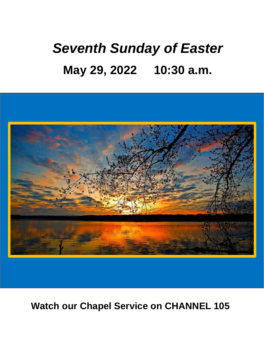# *Seventh Sunday of Easter* **May 29, 2022 10:30 a.m.**



**Watch our Chapel Service on CHANNEL 105**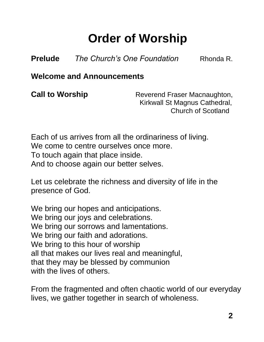## **Order of Worship**

**Prelude** *The Church's One Foundation* Rhonda R.

**Welcome and Announcements**

**Call to Worship** Reverend Fraser Macnaughton, Kirkwall St Magnus Cathedral, Church of Scotland

Each of us arrives from all the ordinariness of living. We come to centre ourselves once more. To touch again that place inside. And to choose again our better selves.

Let us celebrate the richness and diversity of life in the presence of God.

We bring our hopes and anticipations. We bring our joys and celebrations. We bring our sorrows and lamentations. We bring our faith and adorations. We bring to this hour of worship all that makes our lives real and meaningful, that they may be blessed by communion with the lives of others.

From the fragmented and often chaotic world of our everyday lives, we gather together in search of wholeness.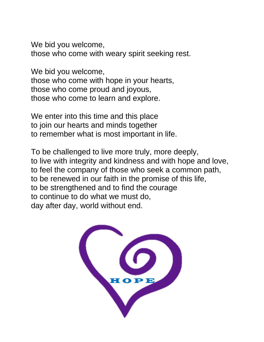We bid you welcome, those who come with weary spirit seeking rest.

We bid you welcome, those who come with hope in your hearts, those who come proud and joyous, those who come to learn and explore.

We enter into this time and this place to join our hearts and minds together to remember what is most important in life.

To be challenged to live more truly, more deeply, to live with integrity and kindness and with hope and love, to feel the company of those who seek a common path, to be renewed in our faith in the promise of this life, to be strengthened and to find the courage to continue to do what we must do, day after day, world without end.

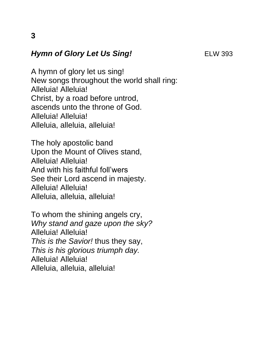#### **Hymn of Glory Let Us Sing!** ELW 393

A hymn of glory let us sing! New songs throughout the world shall ring: Alleluia! Alleluia! Christ, by a road before untrod, ascends unto the throne of God. Alleluia! Alleluia! Alleluia, alleluia, alleluia!

The holy apostolic band Upon the Mount of Olives stand, Alleluia! Alleluia! And with his faithful foll'wers See their Lord ascend in majesty. Alleluia! Alleluia! Alleluia, alleluia, alleluia!

To whom the shining angels cry, *Why stand and gaze upon the sky?* Alleluia! Alleluia! *This is the Savior!* thus they say, *This is his glorious triumph day.* Alleluia! Alleluia! Alleluia, alleluia, alleluia!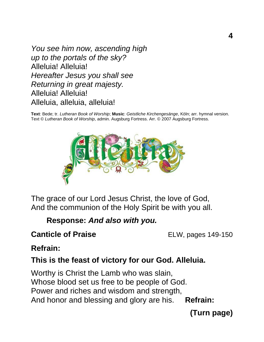*You see him now, ascending high up to the portals of the sky?* Alleluia! Alleluia! *Hereafter Jesus you shall see Returning in great majesty.* Alleluia! Alleluia! Alleluia, alleluia, alleluia!

**Text**: Bede; tr. *Lutheran Book of Worship*; **Music**: *Geistliche Kirchengesänge*, Köln; arr. hymnal version. Text © *Lutheran Book of Worship*, admin. Augsburg Fortress. Arr. © 2007 Augsburg Fortress.



The grace of our Lord Jesus Christ, the love of God, And the communion of the Holy Spirit be with you all.

**Response:** *And also with you.*

#### **Canticle of Praise** ELW, pages 149-150

#### **Refrain:**

#### **This is the feast of victory for our God. Alleluia.**

Worthy is Christ the Lamb who was slain, Whose blood set us free to be people of God. Power and riches and wisdom and strength, And honor and blessing and glory are his. **Refrain:**

**(Turn page)**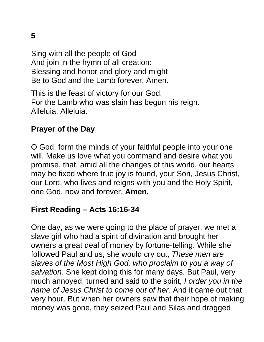Sing with all the people of God And join in the hymn of all creation: Blessing and honor and glory and might Be to God and the Lamb forever. Amen.

This is the feast of victory for our God, For the Lamb who was slain has begun his reign. Alleluia. Alleluia.

#### **Prayer of the Day**

O God, form the minds of your faithful people into your one will. Make us love what you command and desire what you promise, that, amid all the changes of this world, our hearts may be fixed where true joy is found, your Son, Jesus Christ, our Lord, who lives and reigns with you and the Holy Spirit, one God, now and forever. **Amen.**

#### **First Reading – Acts 16:16-34**

One day, as we were going to the place of prayer, we met a slave girl who had a spirit of divination and brought her owners a great deal of money by fortune-telling. While she followed Paul and us, she would cry out, *These men are slaves of the Most High God, who proclaim to you a way of salvation.* She kept doing this for many days. But Paul, very much annoyed, turned and said to the spirit, *I order you in the name of Jesus Christ to come out of her.* And it came out that very hour. But when her owners saw that their hope of making money was gone, they seized Paul and Silas and dragged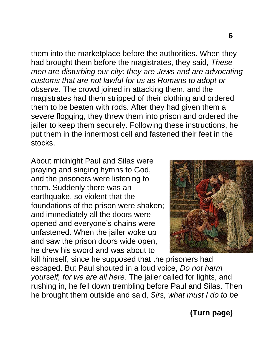them into the marketplace before the authorities. When they had brought them before the magistrates, they said, *These men are disturbing our city; they are Jews and are advocating customs that are not lawful for us as Romans to adopt or observe.* The crowd joined in attacking them, and the magistrates had them stripped of their clothing and ordered them to be beaten with rods. After they had given them a severe flogging, they threw them into prison and ordered the

jailer to keep them securely. Following these instructions, he put them in the innermost cell and fastened their feet in the stocks.

About midnight Paul and Silas were praying and singing hymns to God, and the prisoners were listening to them. Suddenly there was an earthquake, so violent that the foundations of the prison were shaken; and immediately all the doors were opened and everyone's chains were unfastened. When the jailer woke up and saw the prison doors wide open, he drew his sword and was about to



kill himself, since he supposed that the prisoners had escaped. But Paul shouted in a loud voice, *Do not harm yourself, for we are all here.* The jailer called for lights, and rushing in, he fell down trembling before Paul and Silas. Then he brought them outside and said, *Sirs, what must I do to be* 

**(Turn page)**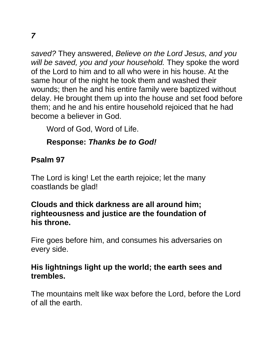*saved?* They answered, *Believe on the Lord Jesus, and you will be saved, you and your household.* They spoke the word of the Lord to him and to all who were in his house. At the same hour of the night he took them and washed their wounds; then he and his entire family were baptized without delay. He brought them up into the house and set food before them; and he and his entire household rejoiced that he had become a believer in God.

Word of God, Word of Life.

#### **Response:** *Thanks be to God!*

#### **Psalm 97**

The Lord is king! Let the earth rejoice; let the many coastlands be glad!

#### **Clouds and thick darkness are all around him; righteousness and justice are the foundation of his throne.**

Fire goes before him, and consumes his adversaries on every side.

#### **His lightnings light up the world; the earth sees and trembles.**

The mountains melt like wax before the Lord, before the Lord of all the earth.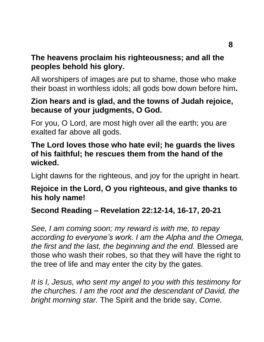#### **The heavens proclaim his righteousness; and all the peoples behold his glory.**

All worshipers of images are put to shame, those who make their boast in worthless idols; all gods bow down before him**.**

#### **Zion hears and is glad, and the towns of Judah rejoice, because of your judgments, O God.**

For you, O Lord, are most high over all the earth; you are exalted far above all gods.

#### **The Lord loves those who hate evil; he guards the lives of his faithful; he rescues them from the hand of the wicked.**

Light dawns for the righteous, and joy for the upright in heart.

#### **Rejoice in the Lord, O you righteous, and give thanks to his holy name!**

#### **Second Reading – Revelation 22:12-14, 16-17, 20-21**

*See, I am coming soon; my reward is with me, to repay according to everyone's work. I am the Alpha and the Omega, the first and the last, the beginning and the end.* Blessed are those who wash their robes, so that they will have the right to the tree of life and may enter the city by the gates.

*It is I, Jesus, who sent my angel to you with this testimony for the churches. I am the root and the descendant of David, the bright morning star.* The Spirit and the bride say, *Come.*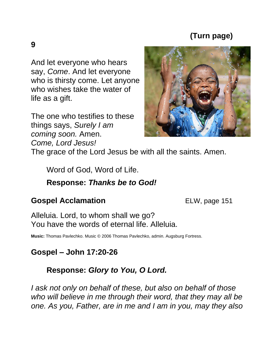#### **(Turn page)**

And let everyone who hears say, *Come*. And let everyone who is thirsty come. Let anyone who wishes take the water of life as a gift.

The one who testifies to these things says, *Surely I am coming soon.* Amen. *Come, Lord Jesus!*

The grace of the Lord Jesus be with all the saints. Amen.

Word of God, Word of Life.

#### **Response:** *Thanks be to God!*

#### **Gospel Acclamation ELW**, page 151

Alleluia. Lord, to whom shall we go? You have the words of eternal life. Alleluia.

**Music:** Thomas Pavlechko. Music © 2006 Thomas Pavlechko, admin. Augsburg Fortress.

#### **Gospel – John 17:20-26**

#### **Response:** *Glory to You, O Lord.*

*I ask not only on behalf of these, but also on behalf of those who will believe in me through their word, that they may all be one. As you, Father, are in me and I am in you, may they also*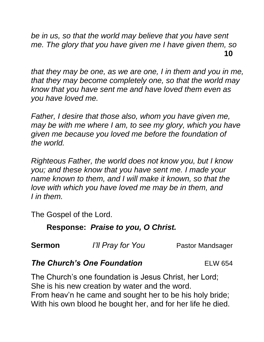*be in us, so that the world may believe that you have sent me. The glory that you have given me I have given them, so*  **10**

*that they may be one, as we are one, I in them and you in me, that they may become completely one, so that the world may know that you have sent me and have loved them even as you have loved me.*

*Father, I desire that those also, whom you have given me, may be with me where I am, to see my glory, which you have given me because you loved me before the foundation of the world.*

*Righteous Father, the world does not know you, but I know you; and these know that you have sent me. I made your name known to them, and I will make it known, so that the love with which you have loved me may be in them, and I in them.*

The Gospel of the Lord.

#### **Response:** *Praise to you, O Christ.*

**Sermon** *I'll Pray for You* Pastor Mandsager

#### **The Church's One Foundation** ELW 654

The Church's one foundation is Jesus Christ, her Lord; She is his new creation by water and the word. From heav'n he came and sought her to be his holy bride; With his own blood he bought her, and for her life he died.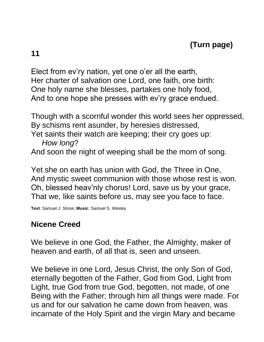**11**

Elect from ev'ry nation, yet one o'er all the earth, Her charter of salvation one Lord, one faith, one birth: One holy name she blesses, partakes one holy food, And to one hope she presses with ev'ry grace endued.

Though with a scornful wonder this world sees her oppressed, By schisms rent asunder, by heresies distressed,

Yet saints their watch are keeping; their cry goes up:

 *How long*? And soon the night of weeping shall be the morn of song.

Yet she on earth has union with God, the Three in One, And mystic sweet communion with those whose rest is won. Oh, blessed heav'nly chorus! Lord, save us by your grace, That we, like saints before us, may see you face to face.

**Text**: Samuel J. Stone; **Music**: Samuel S. Wesley

#### **Nicene Creed**

We believe in one God, the Father, the Almighty, maker of heaven and earth, of all that is, seen and unseen.

We believe in one Lord, Jesus Christ, the only Son of God, eternally begotten of the Father, God from God, Light from Light, true God from true God, begotten, not made, of one Being with the Father; through him all things were made. For us and for our salvation he came down from heaven, was incarnate of the Holy Spirit and the virgin Mary and became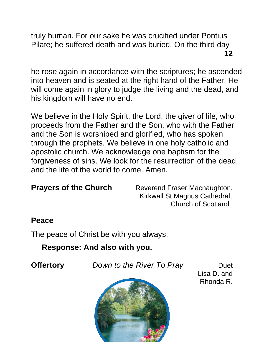truly human. For our sake he was crucified under Pontius Pilate; he suffered death and was buried. On the third day **12**

he rose again in accordance with the scriptures; he ascended into heaven and is seated at the right hand of the Father. He will come again in glory to judge the living and the dead, and his kingdom will have no end.

We believe in the Holy Spirit, the Lord, the giver of life, who proceeds from the Father and the Son, who with the Father and the Son is worshiped and glorified, who has spoken through the prophets. We believe in one holy catholic and apostolic church. We acknowledge one baptism for the forgiveness of sins. We look for the resurrection of the dead, and the life of the world to come. Amen.

**Prayers of the Church** Reverend Fraser Macnaughton, Kirkwall St Magnus Cathedral, Church of Scotland

#### **Peace**

The peace of Christ be with you always.

 **Response: And also with you.**

**Offertory** *Down to the River To Pray* Duet



Lisa D. and Rhonda R.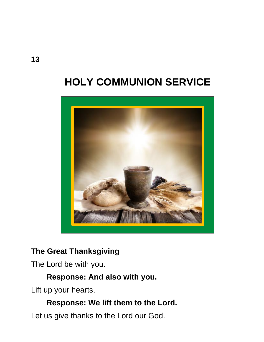## **HOLY COMMUNION SERVICE**



#### **The Great Thanksgiving**

The Lord be with you.

#### **Response: And also with you.**

Lift up your hearts.

#### **Response: We lift them to the Lord.**

Let us give thanks to the Lord our God.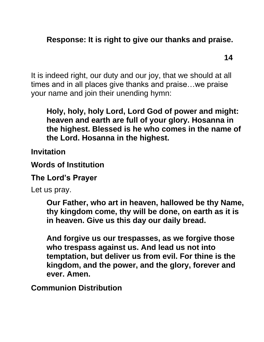#### **Response: It is right to give our thanks and praise.**

**14**

It is indeed right, our duty and our joy, that we should at all times and in all places give thanks and praise…we praise your name and join their unending hymn:

**Holy, holy, holy Lord, Lord God of power and might: heaven and earth are full of your glory. Hosanna in the highest. Blessed is he who comes in the name of the Lord. Hosanna in the highest.**

**Invitation**

**Words of Institution**

**The Lord's Prayer**

Let us pray.

**Our Father, who art in heaven, hallowed be thy Name, thy kingdom come, thy will be done, on earth as it is in heaven. Give us this day our daily bread.** 

**And forgive us our trespasses, as we forgive those who trespass against us. And lead us not into temptation, but deliver us from evil. For thine is the kingdom, and the power, and the glory, forever and ever. Amen.**

**Communion Distribution**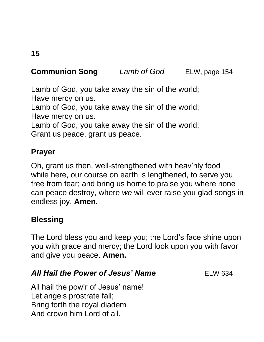### **Communion Song** *Lamb of God* ELW, page 154

Lamb of God, you take away the sin of the world; Have mercy on us.

Lamb of God, you take away the sin of the world; Have mercy on us.

Lamb of God, you take away the sin of the world; Grant us peace, grant us peace.

#### **Prayer**

Oh, grant us then, well-strengthened with heav'nly food while here, our course on earth is lengthened, to serve you free from fear; and bring us home to praise you where none can peace destroy, where *we* will ever raise you glad songs in endless joy. **Amen.**

#### **Blessing**

The Lord bless you and keep you; the Lord's face shine upon you with grace and mercy; the Lord look upon you with favor and give you peace. **Amen.**

#### **All Hail the Power of Jesus' Name** ELW 634

All hail the pow'r of Jesus' name! Let angels prostrate fall; Bring forth the royal diadem And crown him Lord of all.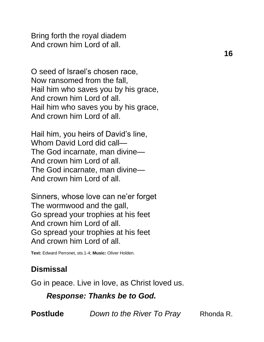Bring forth the royal diadem And crown him Lord of all.

O seed of Israel's chosen race, Now ransomed from the fall, Hail him who saves you by his grace, And crown him Lord of all. Hail him who saves you by his grace, And crown him Lord of all.

Hail him, you heirs of David's line, Whom David Lord did call— The God incarnate, man divine— And crown him Lord of all. The God incarnate, man divine— And crown him Lord of all.

Sinners, whose love can ne'er forget The wormwood and the gall, Go spread your trophies at his feet And crown him Lord of all. Go spread your trophies at his feet And crown him Lord of all.

**Text:** Edward Perronet, sts.1-4; **Music:** Oliver Holden.

#### **Dismissal**

Go in peace. Live in love, as Christ loved us.

*Response: Thanks be to God.* 

**Postlude** *Down to the River To Pray* Rhonda R.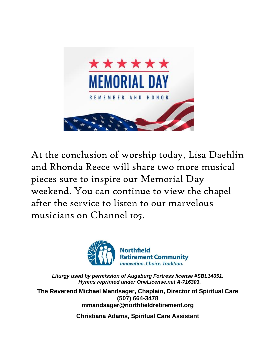

At the conclusion of worship today, Lisa Daehlin and Rhonda Reece will share two more musical pieces sure to inspire our Memorial Day weekend. You can continue to view the chapel after the service to listen to our marvelous musicians on Channel 105.



*Liturgy used by permission of Augsburg Fortress license #SBL14651. Hymns reprinted under OneLicense.net A-716303.*

**The Reverend Michael Mandsager, Chaplain, Director of Spiritual Care (507) 664-3478 mmandsager@northfieldretirement.org**

**Christiana Adams, Spiritual Care Assistant**